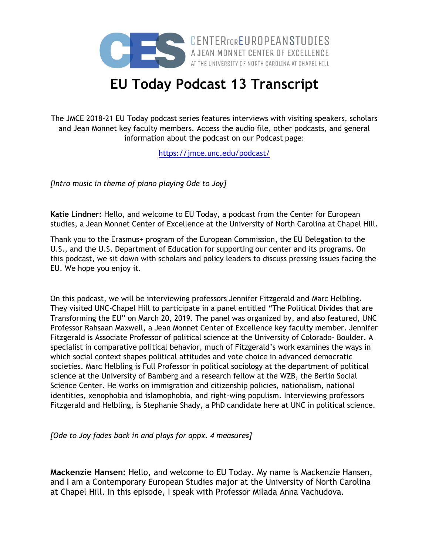

**CENTERFOREUROPEANSTUDIES**<br>A JEAN MONNET CENTER OF EXCELLENCE<br>AT THE UNIVERSITY OF NORTH CAROLINA AT CHAPEL HILL

## **EU Today Podcast 13 Transcript**

The JMCE 2018-21 EU Today podcast series features interviews with visiting speakers, scholars and Jean Monnet key faculty members. Access the audio file, other podcasts, and general information about the podcast on our Podcast page:

<https://jmce.unc.edu/podcast/>

*[Intro music in theme of piano playing Ode to Joy]*

**Katie Lindner:** Hello, and welcome to EU Today, a podcast from the Center for European studies, a Jean Monnet Center of Excellence at the University of North Carolina at Chapel Hill.

Thank you to the Erasmus+ program of the European Commission, the EU Delegation to the U.S., and the U.S. Department of Education for supporting our center and its programs. On this podcast, we sit down with scholars and policy leaders to discuss pressing issues facing the EU. We hope you enjoy it.

On this podcast, we will be interviewing professors Jennifer Fitzgerald and Marc Helbling. They visited UNC-Chapel Hill to participate in a panel entitled "The Political Divides that are Transforming the EU" on March 20, 2019. The panel was organized by, and also featured, UNC Professor Rahsaan Maxwell, a Jean Monnet Center of Excellence key faculty member. Jennifer Fitzgerald is Associate Professor of political science at the University of Colorado- Boulder. A specialist in comparative political behavior, much of Fitzgerald's work examines the ways in which social context shapes political attitudes and vote choice in advanced democratic societies. Marc Helbling is Full Professor in political sociology at the department of political science at the University of Bamberg and a research fellow at the WZB, the Berlin Social Science Center. He works on immigration and citizenship policies, nationalism, national identities, xenophobia and islamophobia, and right-wing populism. Interviewing professors Fitzgerald and Helbling, is Stephanie Shady, a PhD candidate here at UNC in political science.

*[Ode to Joy fades back in and plays for appx. 4 measures]*

**Mackenzie Hansen:** Hello, and welcome to EU Today. My name is Mackenzie Hansen, and I am a Contemporary European Studies major at the University of North Carolina at Chapel Hill. In this episode, I speak with Professor Milada Anna Vachudova.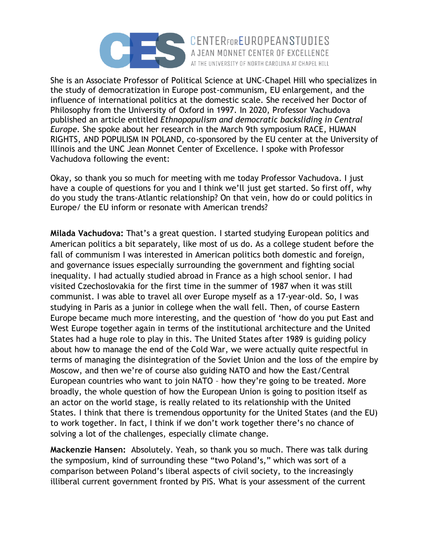

She is an Associate Professor of Political Science at UNC-Chapel Hill who specializes in the study of democratization in Europe post-communism, EU enlargement, and the influence of international politics at the domestic scale. She received her Doctor of Philosophy from the University of Oxford in 1997. In 2020, Professor Vachudova published an article entitled *Ethnopopulism and democratic backsliding in Central Europe*. She spoke about her research in the March 9th symposium RACE, HUMAN RIGHTS, AND POPULISM IN POLAND, co-sponsored by the EU center at the University of Illinois and the UNC Jean Monnet Center of Excellence. I spoke with Professor Vachudova following the event:

AT THE UNIVERSITY OF NORTH CAROLINA AT CHAPEL HILL

Okay, so thank you so much for meeting with me today Professor Vachudova. I just have a couple of questions for you and I think we'll just get started. So first off, why do you study the trans-Atlantic relationship? On that vein, how do or could politics in Europe/ the EU inform or resonate with American trends?

**Milada Vachudova:** That's a great question. I started studying European politics and American politics a bit separately, like most of us do. As a college student before the fall of communism I was interested in American politics both domestic and foreign, and governance issues especially surrounding the government and fighting social inequality. I had actually studied abroad in France as a high school senior. I had visited Czechoslovakia for the first time in the summer of 1987 when it was still communist. I was able to travel all over Europe myself as a 17-year-old. So, I was studying in Paris as a junior in college when the wall fell. Then, of course Eastern Europe became much more interesting, and the question of 'how do you put East and West Europe together again in terms of the institutional architecture and the United States had a huge role to play in this. The United States after 1989 is guiding policy about how to manage the end of the Cold War, we were actually quite respectful in terms of managing the disintegration of the Soviet Union and the loss of the empire by Moscow, and then we're of course also guiding NATO and how the East/Central European countries who want to join NATO – how they're going to be treated. More broadly, the whole question of how the European Union is going to position itself as an actor on the world stage, is really related to its relationship with the United States. I think that there is tremendous opportunity for the United States (and the EU) to work together. In fact, I think if we don't work together there's no chance of solving a lot of the challenges, especially climate change.

**Mackenzie Hansen:** Absolutely. Yeah, so thank you so much. There was talk during the symposium, kind of surrounding these "two Poland's," which was sort of a comparison between Poland's liberal aspects of civil society, to the increasingly illiberal current government fronted by PiS. What is your assessment of the current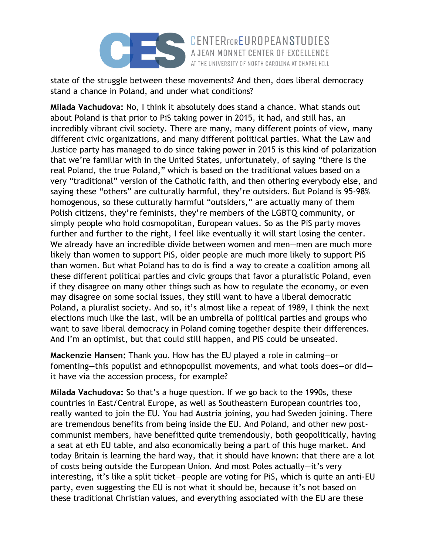

state of the struggle between these movements? And then, does liberal democracy stand a chance in Poland, and under what conditions?

AT THE UNIVERSITY OF NORTH CAROLINA AT CHAPEL HILL

**Milada Vachudova:** No, I think it absolutely does stand a chance. What stands out about Poland is that prior to PiS taking power in 2015, it had, and still has, an incredibly vibrant civil society. There are many, many different points of view, many different civic organizations, and many different political parties. What the Law and Justice party has managed to do since taking power in 2015 is this kind of polarization that we're familiar with in the United States, unfortunately, of saying "there is the real Poland, the true Poland," which is based on the traditional values based on a very "traditional" version of the Catholic faith, and then othering everybody else, and saying these "others" are culturally harmful, they're outsiders. But Poland is 95-98% homogenous, so these culturally harmful "outsiders," are actually many of them Polish citizens, they're feminists, they're members of the LGBTQ community, or simply people who hold cosmopolitan, European values. So as the PiS party moves further and further to the right, I feel like eventually it will start losing the center. We already have an incredible divide between women and men—men are much more likely than women to support PiS, older people are much more likely to support PiS than women. But what Poland has to do is find a way to create a coalition among all these different political parties and civic groups that favor a pluralistic Poland, even if they disagree on many other things such as how to regulate the economy, or even may disagree on some social issues, they still want to have a liberal democratic Poland, a pluralist society. And so, it's almost like a repeat of 1989, I think the next elections much like the last, will be an umbrella of political parties and groups who want to save liberal democracy in Poland coming together despite their differences. And I'm an optimist, but that could still happen, and PiS could be unseated.

**Mackenzie Hansen:** Thank you. How has the EU played a role in calming—or fomenting—this populist and ethnopopulist movements, and what tools does—or did it have via the accession process, for example?

**Milada Vachudova:** So that's a huge question. If we go back to the 1990s, these countries in East/Central Europe, as well as Southeastern European countries too, really wanted to join the EU. You had Austria joining, you had Sweden joining. There are tremendous benefits from being inside the EU. And Poland, and other new postcommunist members, have benefitted quite tremendously, both geopolitically, having a seat at eth EU table, and also economically being a part of this huge market. And today Britain is learning the hard way, that it should have known: that there are a lot of costs being outside the European Union. And most Poles actually—it's very interesting, it's like a split ticket—people are voting for PiS, which is quite an anti-EU party, even suggesting the EU is not what it should be, because it's not based on these traditional Christian values, and everything associated with the EU are these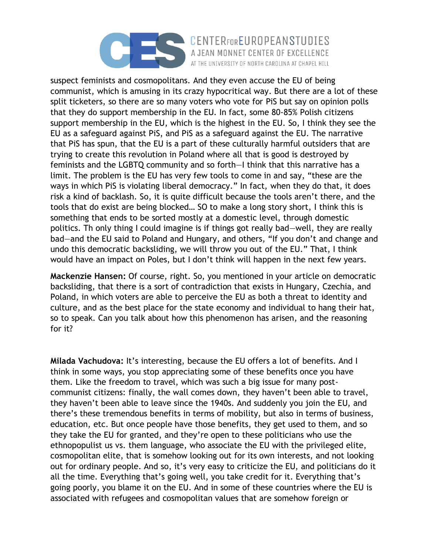

CENTERFOREUROPEANSTUDIES AT THE UNIVERSITY OF NORTH CAROLINA AT CHAPEL HILL

suspect feminists and cosmopolitans. And they even accuse the EU of being communist, which is amusing in its crazy hypocritical way. But there are a lot of these split ticketers, so there are so many voters who vote for PiS but say on opinion polls that they do support membership in the EU. In fact, some 80-85% Polish citizens support membership in the EU, which is the highest in the EU. So, I think they see the EU as a safeguard against PiS, and PiS as a safeguard against the EU. The narrative that PiS has spun, that the EU is a part of these culturally harmful outsiders that are trying to create this revolution in Poland where all that is good is destroyed by feminists and the LGBTQ community and so forth—I think that this narrative has a limit. The problem is the EU has very few tools to come in and say, "these are the ways in which PiS is violating liberal democracy." In fact, when they do that, it does risk a kind of backlash. So, it is quite difficult because the tools aren't there, and the tools that do exist are being blocked… SO to make a long story short, I think this is something that ends to be sorted mostly at a domestic level, through domestic politics. Th only thing I could imagine is if things got really bad—well, they are really bad—and the EU said to Poland and Hungary, and others, "If you don't and change and undo this democratic backsliding, we will throw you out of the EU." That, I think would have an impact on Poles, but I don't think will happen in the next few years.

**Mackenzie Hansen:** Of course, right. So, you mentioned in your article on democratic backsliding, that there is a sort of contradiction that exists in Hungary, Czechia, and Poland, in which voters are able to perceive the EU as both a threat to identity and culture, and as the best place for the state economy and individual to hang their hat, so to speak. Can you talk about how this phenomenon has arisen, and the reasoning for it?

**Milada Vachudova:** It's interesting, because the EU offers a lot of benefits. And I think in some ways, you stop appreciating some of these benefits once you have them. Like the freedom to travel, which was such a big issue for many postcommunist citizens: finally, the wall comes down, they haven't been able to travel, they haven't been able to leave since the 1940s. And suddenly you join the EU, and there's these tremendous benefits in terms of mobility, but also in terms of business, education, etc. But once people have those benefits, they get used to them, and so they take the EU for granted, and they're open to these politicians who use the ethnopopulist us vs. them language, who associate the EU with the privileged elite, cosmopolitan elite, that is somehow looking out for its own interests, and not looking out for ordinary people. And so, it's very easy to criticize the EU, and politicians do it all the time. Everything that's going well, you take credit for it. Everything that's going poorly, you blame it on the EU. And in some of these countries where the EU is associated with refugees and cosmopolitan values that are somehow foreign or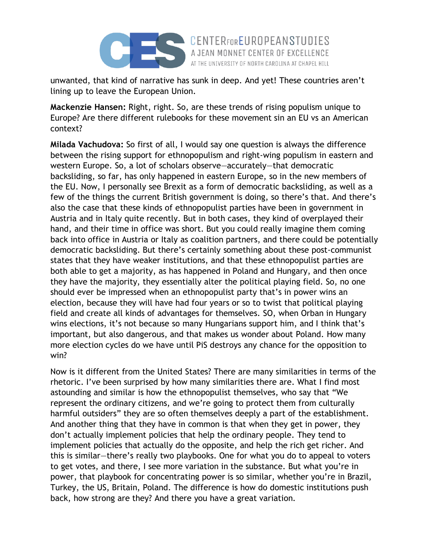

unwanted, that kind of narrative has sunk in deep. And yet! These countries aren't lining up to leave the European Union.

AT THE UNIVERSITY OF NORTH CAROLINA AT CHAPEL HILL

**Mackenzie Hansen:** Right, right. So, are these trends of rising populism unique to Europe? Are there different rulebooks for these movement sin an EU vs an American context?

**Milada Vachudova:** So first of all, I would say one question is always the difference between the rising support for ethnopopulism and right-wing populism in eastern and western Europe. So, a lot of scholars observe—accurately—that democratic backsliding, so far, has only happened in eastern Europe, so in the new members of the EU. Now, I personally see Brexit as a form of democratic backsliding, as well as a few of the things the current British government is doing, so there's that. And there's also the case that these kinds of ethnopopulist parties have been in government in Austria and in Italy quite recently. But in both cases, they kind of overplayed their hand, and their time in office was short. But you could really imagine them coming back into office in Austria or Italy as coalition partners, and there could be potentially democratic backsliding. But there's certainly something about these post-communist states that they have weaker institutions, and that these ethnopopulist parties are both able to get a majority, as has happened in Poland and Hungary, and then once they have the majority, they essentially alter the political playing field. So, no one should ever be impressed when an ethnopopulist party that's in power wins an election, because they will have had four years or so to twist that political playing field and create all kinds of advantages for themselves. SO, when Orban in Hungary wins elections, it's not because so many Hungarians support him, and I think that's important, but also dangerous, and that makes us wonder about Poland. How many more election cycles do we have until PiS destroys any chance for the opposition to win?

Now is it different from the United States? There are many similarities in terms of the rhetoric. I've been surprised by how many similarities there are. What I find most astounding and similar is how the ethnopopulist themselves, who say that "We represent the ordinary citizens, and we're going to protect them from culturally harmful outsiders" they are so often themselves deeply a part of the establishment. And another thing that they have in common is that when they get in power, they don't actually implement policies that help the ordinary people. They tend to implement policies that actually do the opposite, and help the rich get richer. And this is similar—there's really two playbooks. One for what you do to appeal to voters to get votes, and there, I see more variation in the substance. But what you're in power, that playbook for concentrating power is so similar, whether you're in Brazil, Turkey, the US, Britain, Poland. The difference is how do domestic institutions push back, how strong are they? And there you have a great variation.